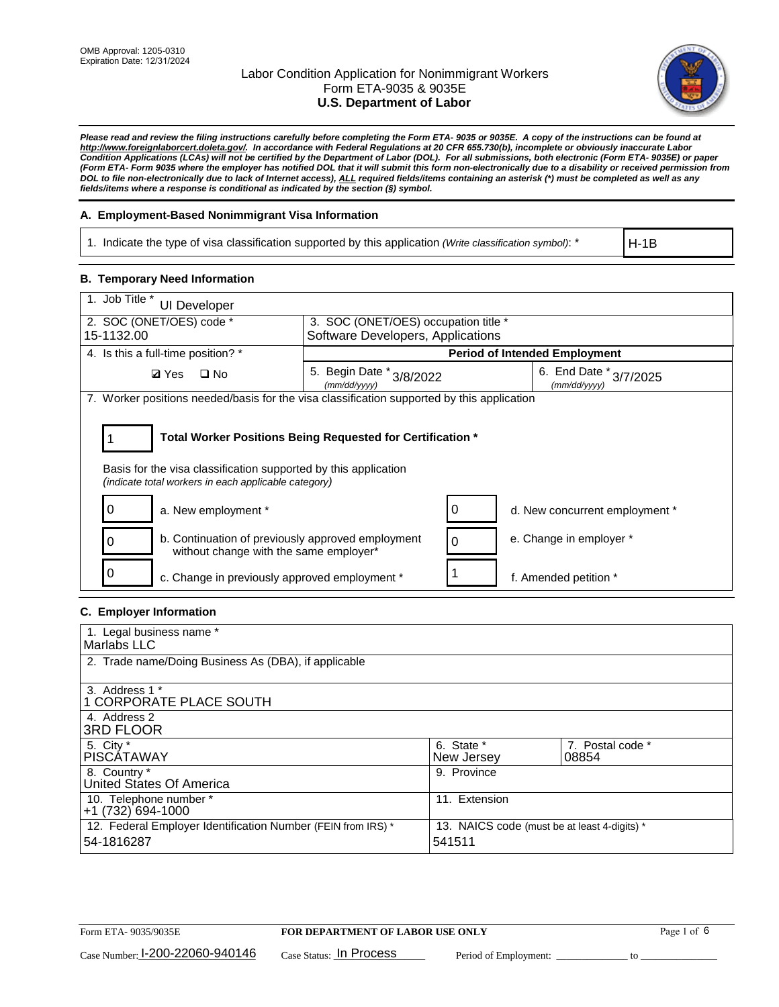

*Please read and review the filing instructions carefully before completing the Form ETA- 9035 or 9035E. A copy of the instructions can be found at http://www.foreignlaborcert.doleta.gov/. In accordance with Federal Regulations at 20 CFR 655.730(b), incomplete or obviously inaccurate Labor Condition Applications (LCAs) will not be certified by the Department of Labor (DOL). For all submissions, both electronic (Form ETA- 9035E) or paper (Form ETA- Form 9035 where the employer has notified DOL that it will submit this form non-electronically due to a disability or received permission from DOL to file non-electronically due to lack of Internet access), ALL required fields/items containing an asterisk (\*) must be completed as well as any fields/items where a response is conditional as indicated by the section (§) symbol.* 

### **A. Employment-Based Nonimmigrant Visa Information**

1. Indicate the type of visa classification supported by this application *(Write classification symbol)*: \*

H-1B

#### **B. Temporary Need Information**

| 1. Job Title *<br><b>UI Developer</b>                                                                                   |                                                                           |                                        |  |  |
|-------------------------------------------------------------------------------------------------------------------------|---------------------------------------------------------------------------|----------------------------------------|--|--|
| 2. SOC (ONET/OES) code *<br>15-1132.00                                                                                  | 3. SOC (ONET/OES) occupation title *<br>Software Developers, Applications |                                        |  |  |
|                                                                                                                         |                                                                           |                                        |  |  |
| 4. Is this a full-time position? *                                                                                      |                                                                           | <b>Period of Intended Employment</b>   |  |  |
| <b>Ø</b> Yes<br>$\Box$ No                                                                                               | 5. Begin Date * 3/8/2022<br>(mm/dd/yyyy)                                  | 6. End Date * 3/7/2025<br>(mm/dd/yyyy) |  |  |
| 7. Worker positions needed/basis for the visa classification supported by this application                              |                                                                           |                                        |  |  |
| Basis for the visa classification supported by this application<br>(indicate total workers in each applicable category) | Total Worker Positions Being Requested for Certification *                |                                        |  |  |
| a. New employment *                                                                                                     |                                                                           | d. New concurrent employment *         |  |  |
| b. Continuation of previously approved employment<br>0<br>without change with the same employer*                        |                                                                           | e. Change in employer *<br>$\Omega$    |  |  |
| 0<br>c. Change in previously approved employment *                                                                      |                                                                           | f. Amended petition *                  |  |  |

### **C. Employer Information**

| 1. Legal business name *                                                   |                                                        |                           |
|----------------------------------------------------------------------------|--------------------------------------------------------|---------------------------|
| Marlabs LLC                                                                |                                                        |                           |
| 2. Trade name/Doing Business As (DBA), if applicable                       |                                                        |                           |
| 3. Address 1 *<br>1 CORPORATE PLACE SOUTH<br>4. Address 2                  |                                                        |                           |
| <b>3RD FLOOR</b>                                                           |                                                        |                           |
| 5. City *<br><b>PISCÁTAWAY</b>                                             | 6. State *<br>New Jersey                               | 7. Postal code *<br>08854 |
| 8. Country *<br>United States Of America                                   | 9. Province                                            |                           |
| 10. Telephone number *<br>$+1(732)694-1000$                                | 11. Extension                                          |                           |
| 12. Federal Employer Identification Number (FEIN from IRS) *<br>54-1816287 | 13. NAICS code (must be at least 4-digits) *<br>541511 |                           |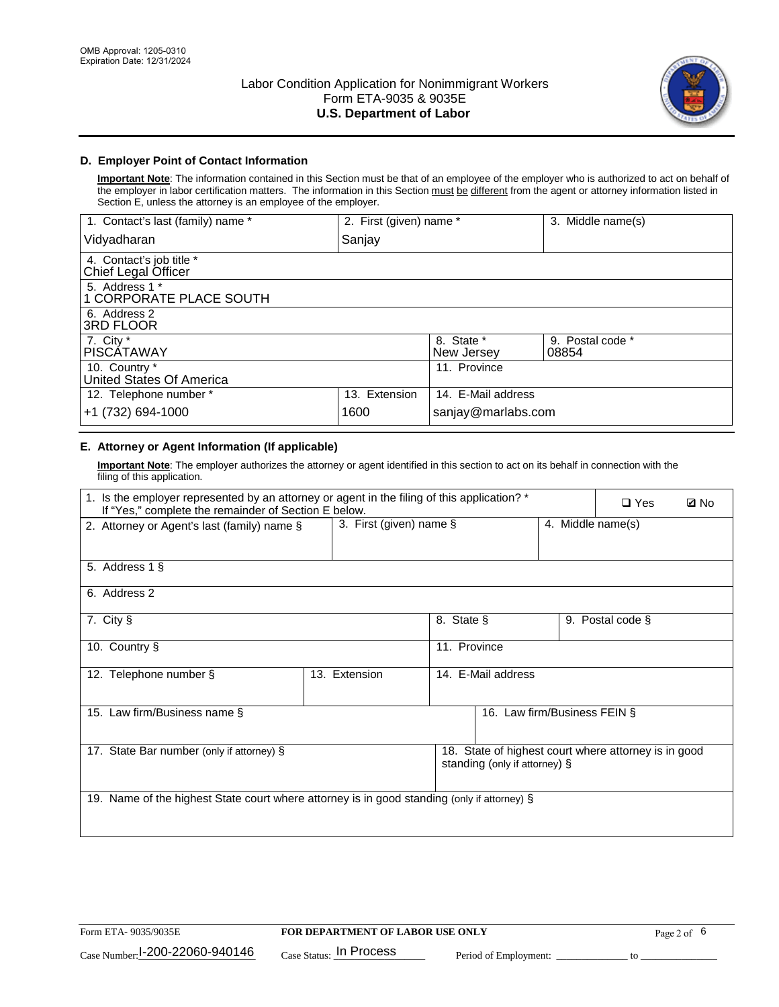

### **D. Employer Point of Contact Information**

**Important Note**: The information contained in this Section must be that of an employee of the employer who is authorized to act on behalf of the employer in labor certification matters. The information in this Section must be different from the agent or attorney information listed in Section E, unless the attorney is an employee of the employer.

| 1. Contact's last (family) name *               | 2. First (given) name * |                          | 3. Middle name(s)         |
|-------------------------------------------------|-------------------------|--------------------------|---------------------------|
| Vidyadharan                                     | Sanjay                  |                          |                           |
| 4. Contact's job title *<br>Chief Legal Officer |                         |                          |                           |
| 5. Address 1 *<br>1 CORPORATE PLACE SOUTH       |                         |                          |                           |
| 6. Address 2<br>3RD FLOOR                       |                         |                          |                           |
| 7. City $*$<br><b>PISCÁTAWAY</b>                |                         | 8. State *<br>New Jersey | 9. Postal code *<br>08854 |
| 10. Country *<br>United States Of America       |                         | 11. Province             |                           |
| 12. Telephone number *                          | 13. Extension           | 14. E-Mail address       |                           |
| +1 (732) 694-1000                               | 1600                    | sanjay@marlabs.com       |                           |

# **E. Attorney or Agent Information (If applicable)**

**Important Note**: The employer authorizes the attorney or agent identified in this section to act on its behalf in connection with the filing of this application.

| 1. Is the employer represented by an attorney or agent in the filing of this application? *<br>If "Yes," complete the remainder of Section E below. |                         |              |                               |                   | $\Box$ Yes                                           | <b>ØNo</b> |
|-----------------------------------------------------------------------------------------------------------------------------------------------------|-------------------------|--------------|-------------------------------|-------------------|------------------------------------------------------|------------|
| 2. Attorney or Agent's last (family) name §                                                                                                         | 3. First (given) name § |              |                               | 4. Middle name(s) |                                                      |            |
| 5. Address 1 §                                                                                                                                      |                         |              |                               |                   |                                                      |            |
| 6. Address 2                                                                                                                                        |                         |              |                               |                   |                                                      |            |
| 7. City §                                                                                                                                           |                         | 8. State §   |                               |                   | 9. Postal code §                                     |            |
| 10. Country §                                                                                                                                       |                         | 11. Province |                               |                   |                                                      |            |
| 12. Telephone number §                                                                                                                              | 13. Extension           |              | 14. E-Mail address            |                   |                                                      |            |
| 15. Law firm/Business name §                                                                                                                        |                         |              | 16. Law firm/Business FEIN §  |                   |                                                      |            |
| 17. State Bar number (only if attorney) §                                                                                                           |                         |              | standing (only if attorney) § |                   | 18. State of highest court where attorney is in good |            |
| 19. Name of the highest State court where attorney is in good standing (only if attorney) §                                                         |                         |              |                               |                   |                                                      |            |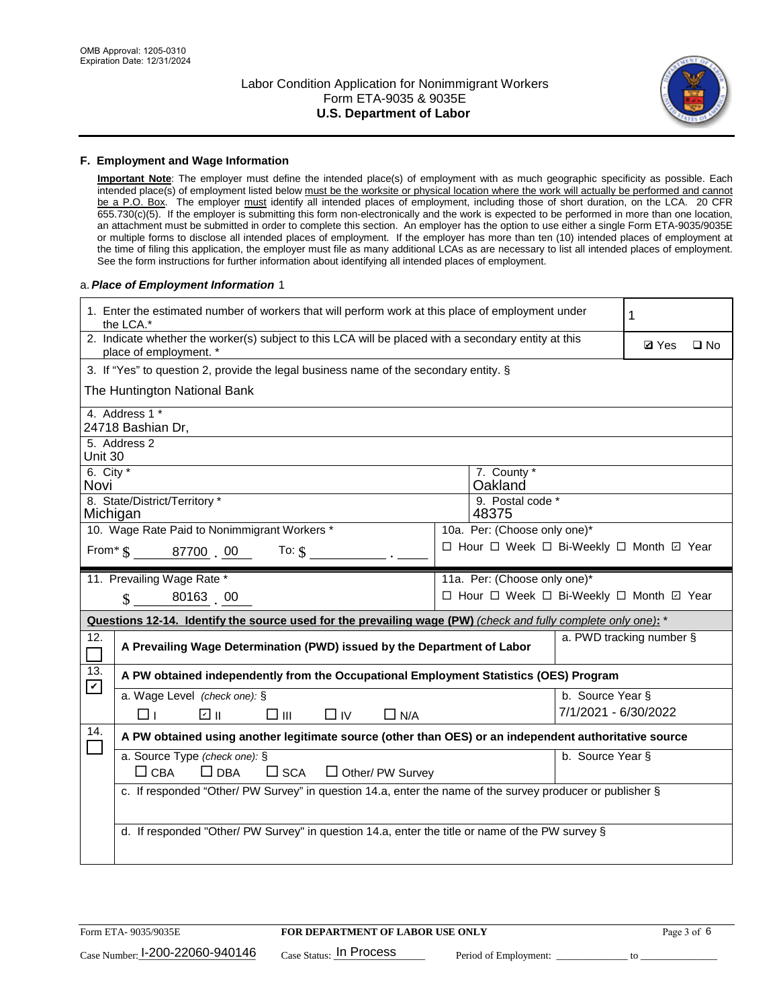

#### **F. Employment and Wage Information**

**Important Note**: The employer must define the intended place(s) of employment with as much geographic specificity as possible. Each intended place(s) of employment listed below must be the worksite or physical location where the work will actually be performed and cannot be a P.O. Box. The employer must identify all intended places of employment, including those of short duration, on the LCA. 20 CFR 655.730(c)(5). If the employer is submitting this form non-electronically and the work is expected to be performed in more than one location, an attachment must be submitted in order to complete this section. An employer has the option to use either a single Form ETA-9035/9035E or multiple forms to disclose all intended places of employment. If the employer has more than ten (10) intended places of employment at the time of filing this application, the employer must file as many additional LCAs as are necessary to list all intended places of employment. See the form instructions for further information about identifying all intended places of employment.

#### a.*Place of Employment Information* 1

|                                                                              | 1. Enter the estimated number of workers that will perform work at this place of employment under<br>the LCA.*                 |  | 1                                        |                      |                          |              |  |
|------------------------------------------------------------------------------|--------------------------------------------------------------------------------------------------------------------------------|--|------------------------------------------|----------------------|--------------------------|--------------|--|
|                                                                              | 2. Indicate whether the worker(s) subject to this LCA will be placed with a secondary entity at this<br>place of employment. * |  |                                          |                      |                          | $\square$ No |  |
|                                                                              | 3. If "Yes" to question 2, provide the legal business name of the secondary entity. §                                          |  |                                          |                      |                          |              |  |
|                                                                              | The Huntington National Bank                                                                                                   |  |                                          |                      |                          |              |  |
|                                                                              | 4. Address 1 *<br>24718 Bashian Dr,                                                                                            |  |                                          |                      |                          |              |  |
| Unit 30                                                                      | 5. Address 2                                                                                                                   |  |                                          |                      |                          |              |  |
| Novi                                                                         | 6. City $*$<br>7. County *<br>Oakland                                                                                          |  |                                          |                      |                          |              |  |
|                                                                              | 8. State/District/Territory *<br>9. Postal code *<br>Michigan<br>48375                                                         |  |                                          |                      |                          |              |  |
| 10. Wage Rate Paid to Nonimmigrant Workers *<br>10a. Per: (Choose only one)* |                                                                                                                                |  |                                          |                      |                          |              |  |
|                                                                              | □ Hour □ Week □ Bi-Weekly □ Month ☑ Year<br>From $\frac{1}{5}$ 87700 00<br>To: $$$                                             |  |                                          |                      |                          |              |  |
|                                                                              | 11. Prevailing Wage Rate *<br>11a. Per: (Choose only one)*                                                                     |  |                                          |                      |                          |              |  |
|                                                                              | $\sin 80163$ 00                                                                                                                |  | □ Hour □ Week □ Bi-Weekly □ Month ☑ Year |                      |                          |              |  |
|                                                                              | Questions 12-14. Identify the source used for the prevailing wage (PW) (check and fully complete only one): *                  |  |                                          |                      |                          |              |  |
| 12.<br>$\Box$                                                                | A Prevailing Wage Determination (PWD) issued by the Department of Labor                                                        |  |                                          |                      | a. PWD tracking number § |              |  |
| 13.<br>$\mathbf v$                                                           | A PW obtained independently from the Occupational Employment Statistics (OES) Program                                          |  |                                          |                      |                          |              |  |
|                                                                              | a. Wage Level (check one): §                                                                                                   |  |                                          | b. Source Year §     |                          |              |  |
|                                                                              | பெ<br>□⊪<br>$\Box$ N/A<br>□⊥<br>$\Box$ IV                                                                                      |  |                                          | 7/1/2021 - 6/30/2022 |                          |              |  |
| 14.                                                                          | A PW obtained using another legitimate source (other than OES) or an independent authoritative source                          |  |                                          |                      |                          |              |  |
|                                                                              | a. Source Type (check one): §<br>$\Box$ CBA<br>$\Box$ DBA<br>$\square$ SCA<br>$\Box$ Other/ PW Survey                          |  |                                          | b. Source Year §     |                          |              |  |
|                                                                              | c. If responded "Other/ PW Survey" in question 14.a, enter the name of the survey producer or publisher §                      |  |                                          |                      |                          |              |  |
|                                                                              | d. If responded "Other/ PW Survey" in question 14.a, enter the title or name of the PW survey §                                |  |                                          |                      |                          |              |  |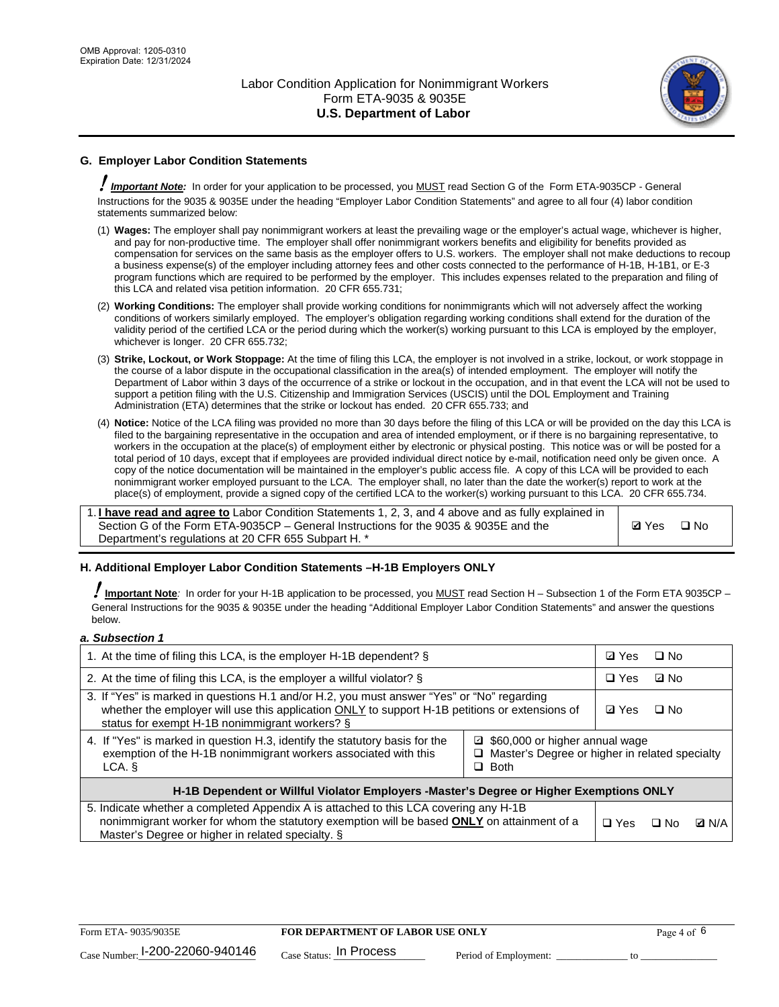

# **G. Employer Labor Condition Statements**

! *Important Note:* In order for your application to be processed, you MUST read Section G of the Form ETA-9035CP - General Instructions for the 9035 & 9035E under the heading "Employer Labor Condition Statements" and agree to all four (4) labor condition statements summarized below:

- (1) **Wages:** The employer shall pay nonimmigrant workers at least the prevailing wage or the employer's actual wage, whichever is higher, and pay for non-productive time. The employer shall offer nonimmigrant workers benefits and eligibility for benefits provided as compensation for services on the same basis as the employer offers to U.S. workers. The employer shall not make deductions to recoup a business expense(s) of the employer including attorney fees and other costs connected to the performance of H-1B, H-1B1, or E-3 program functions which are required to be performed by the employer. This includes expenses related to the preparation and filing of this LCA and related visa petition information. 20 CFR 655.731;
- (2) **Working Conditions:** The employer shall provide working conditions for nonimmigrants which will not adversely affect the working conditions of workers similarly employed. The employer's obligation regarding working conditions shall extend for the duration of the validity period of the certified LCA or the period during which the worker(s) working pursuant to this LCA is employed by the employer, whichever is longer. 20 CFR 655.732;
- (3) **Strike, Lockout, or Work Stoppage:** At the time of filing this LCA, the employer is not involved in a strike, lockout, or work stoppage in the course of a labor dispute in the occupational classification in the area(s) of intended employment. The employer will notify the Department of Labor within 3 days of the occurrence of a strike or lockout in the occupation, and in that event the LCA will not be used to support a petition filing with the U.S. Citizenship and Immigration Services (USCIS) until the DOL Employment and Training Administration (ETA) determines that the strike or lockout has ended. 20 CFR 655.733; and
- (4) **Notice:** Notice of the LCA filing was provided no more than 30 days before the filing of this LCA or will be provided on the day this LCA is filed to the bargaining representative in the occupation and area of intended employment, or if there is no bargaining representative, to workers in the occupation at the place(s) of employment either by electronic or physical posting. This notice was or will be posted for a total period of 10 days, except that if employees are provided individual direct notice by e-mail, notification need only be given once. A copy of the notice documentation will be maintained in the employer's public access file. A copy of this LCA will be provided to each nonimmigrant worker employed pursuant to the LCA. The employer shall, no later than the date the worker(s) report to work at the place(s) of employment, provide a signed copy of the certified LCA to the worker(s) working pursuant to this LCA. 20 CFR 655.734.

1. **I have read and agree to** Labor Condition Statements 1, 2, 3, and 4 above and as fully explained in Section G of the Form ETA-9035CP – General Instructions for the 9035 & 9035E and the Department's regulations at 20 CFR 655 Subpart H. \*

**Ø**Yes ロNo

### **H. Additional Employer Labor Condition Statements –H-1B Employers ONLY**

!**Important Note***:* In order for your H-1B application to be processed, you MUST read Section H – Subsection 1 of the Form ETA 9035CP – General Instructions for the 9035 & 9035E under the heading "Additional Employer Labor Condition Statements" and answer the questions below.

#### *a. Subsection 1*

| 1. At the time of filing this LCA, is the employer H-1B dependent? §                                                                                                                                                                                            |  |  | $\square$ No |              |
|-----------------------------------------------------------------------------------------------------------------------------------------------------------------------------------------------------------------------------------------------------------------|--|--|--------------|--------------|
| 2. At the time of filing this LCA, is the employer a willful violator? $\S$                                                                                                                                                                                     |  |  | ⊡ No         |              |
| 3. If "Yes" is marked in questions H.1 and/or H.2, you must answer "Yes" or "No" regarding<br>whether the employer will use this application ONLY to support H-1B petitions or extensions of<br>status for exempt H-1B nonimmigrant workers? §                  |  |  | $\Box$ No    |              |
| 4. If "Yes" is marked in question H.3, identify the statutory basis for the<br>■ \$60,000 or higher annual wage<br>exemption of the H-1B nonimmigrant workers associated with this<br>□ Master's Degree or higher in related specialty<br>$\Box$ Both<br>LCA. § |  |  |              |              |
| H-1B Dependent or Willful Violator Employers -Master's Degree or Higher Exemptions ONLY                                                                                                                                                                         |  |  |              |              |
| 5. Indicate whether a completed Appendix A is attached to this LCA covering any H-1B<br>nonimmigrant worker for whom the statutory exemption will be based <b>ONLY</b> on attainment of a<br>Master's Degree or higher in related specialty. §                  |  |  | ⊡ No         | <b>Q</b> N/A |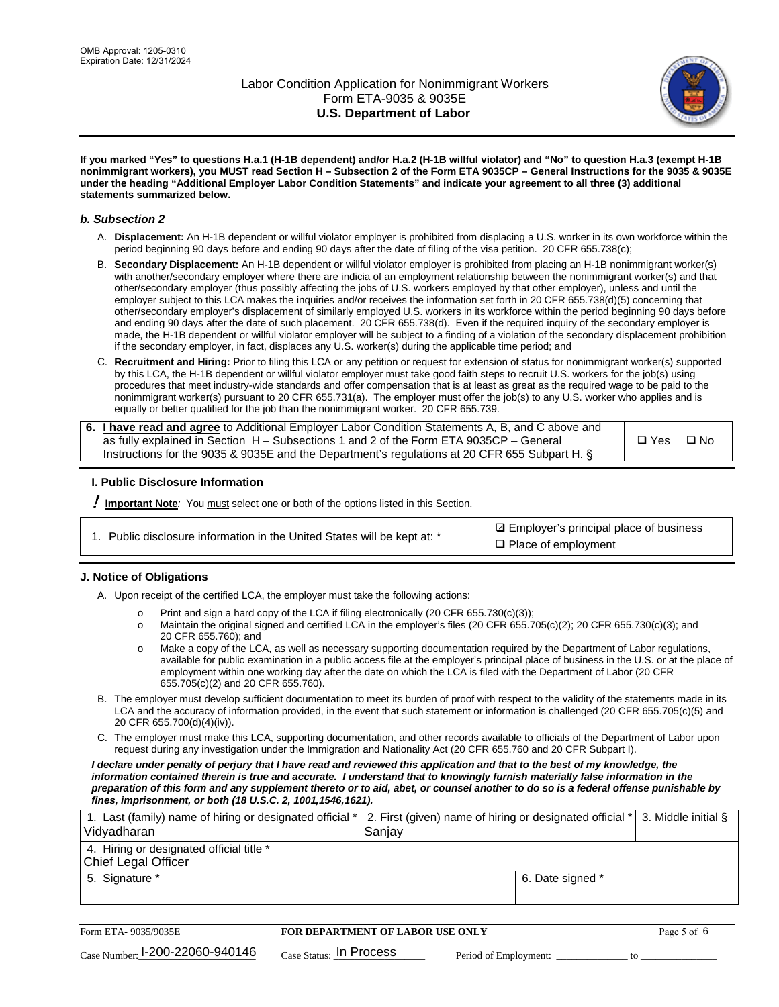

**If you marked "Yes" to questions H.a.1 (H-1B dependent) and/or H.a.2 (H-1B willful violator) and "No" to question H.a.3 (exempt H-1B nonimmigrant workers), you MUST read Section H – Subsection 2 of the Form ETA 9035CP – General Instructions for the 9035 & 9035E under the heading "Additional Employer Labor Condition Statements" and indicate your agreement to all three (3) additional statements summarized below.**

#### *b. Subsection 2*

- A. **Displacement:** An H-1B dependent or willful violator employer is prohibited from displacing a U.S. worker in its own workforce within the period beginning 90 days before and ending 90 days after the date of filing of the visa petition. 20 CFR 655.738(c);
- B. **Secondary Displacement:** An H-1B dependent or willful violator employer is prohibited from placing an H-1B nonimmigrant worker(s) with another/secondary employer where there are indicia of an employment relationship between the nonimmigrant worker(s) and that other/secondary employer (thus possibly affecting the jobs of U.S. workers employed by that other employer), unless and until the employer subject to this LCA makes the inquiries and/or receives the information set forth in 20 CFR 655.738(d)(5) concerning that other/secondary employer's displacement of similarly employed U.S. workers in its workforce within the period beginning 90 days before and ending 90 days after the date of such placement. 20 CFR 655.738(d). Even if the required inquiry of the secondary employer is made, the H-1B dependent or willful violator employer will be subject to a finding of a violation of the secondary displacement prohibition if the secondary employer, in fact, displaces any U.S. worker(s) during the applicable time period; and
- C. **Recruitment and Hiring:** Prior to filing this LCA or any petition or request for extension of status for nonimmigrant worker(s) supported by this LCA, the H-1B dependent or willful violator employer must take good faith steps to recruit U.S. workers for the job(s) using procedures that meet industry-wide standards and offer compensation that is at least as great as the required wage to be paid to the nonimmigrant worker(s) pursuant to 20 CFR 655.731(a). The employer must offer the job(s) to any U.S. worker who applies and is equally or better qualified for the job than the nonimmigrant worker. 20 CFR 655.739.

| 6. I have read and agree to Additional Employer Labor Condition Statements A, B, and C above and |       |           |
|--------------------------------------------------------------------------------------------------|-------|-----------|
| as fully explained in Section H – Subsections 1 and 2 of the Form ETA 9035CP – General           | □ Yes | $\Box$ No |
| Instructions for the 9035 & 9035E and the Department's regulations at 20 CFR 655 Subpart H. §    |       |           |

### **I. Public Disclosure Information**

! **Important Note***:* You must select one or both of the options listed in this Section.

| 1. Public disclosure information in the United States will be kept at: * |  |  |  |  |  |  |  |
|--------------------------------------------------------------------------|--|--|--|--|--|--|--|
|--------------------------------------------------------------------------|--|--|--|--|--|--|--|

**sqrt** Employer's principal place of business □ Place of employment

### **J. Notice of Obligations**

A. Upon receipt of the certified LCA, the employer must take the following actions:

- o Print and sign a hard copy of the LCA if filing electronically (20 CFR 655.730(c)(3));<br>
Maintain the original signed and certified LCA in the employer's files (20 CFR 655.7
- Maintain the original signed and certified LCA in the employer's files (20 CFR 655.705(c)(2); 20 CFR 655.730(c)(3); and 20 CFR 655.760); and
- o Make a copy of the LCA, as well as necessary supporting documentation required by the Department of Labor regulations, available for public examination in a public access file at the employer's principal place of business in the U.S. or at the place of employment within one working day after the date on which the LCA is filed with the Department of Labor (20 CFR 655.705(c)(2) and 20 CFR 655.760).
- B. The employer must develop sufficient documentation to meet its burden of proof with respect to the validity of the statements made in its LCA and the accuracy of information provided, in the event that such statement or information is challenged (20 CFR 655.705(c)(5) and 20 CFR 655.700(d)(4)(iv)).
- C. The employer must make this LCA, supporting documentation, and other records available to officials of the Department of Labor upon request during any investigation under the Immigration and Nationality Act (20 CFR 655.760 and 20 CFR Subpart I).

*I declare under penalty of perjury that I have read and reviewed this application and that to the best of my knowledge, the*  information contained therein is true and accurate. I understand that to knowingly furnish materially false information in the *preparation of this form and any supplement thereto or to aid, abet, or counsel another to do so is a federal offense punishable by fines, imprisonment, or both (18 U.S.C. 2, 1001,1546,1621).*

| 1. Last (family) name of hiring or designated official *<br>Vidyadharan | 2. First (given) name of hiring or designated official * 3. Middle initial §<br>Sanjay |                  |  |
|-------------------------------------------------------------------------|----------------------------------------------------------------------------------------|------------------|--|
| 4. Hiring or designated official title *<br>Chief Legal Officer         |                                                                                        |                  |  |
| 5. Signature *                                                          |                                                                                        | 6. Date signed * |  |

| Form ETA-9035/9035E               | <b>FOR DEPARTMENT OF LABOR USE ONLY</b> | Page 5 of 6           |  |
|-----------------------------------|-----------------------------------------|-----------------------|--|
| Case Number: $1-200-22060-940146$ | $_{\text{Case Status:}}$ In Process     | Period of Employment: |  |